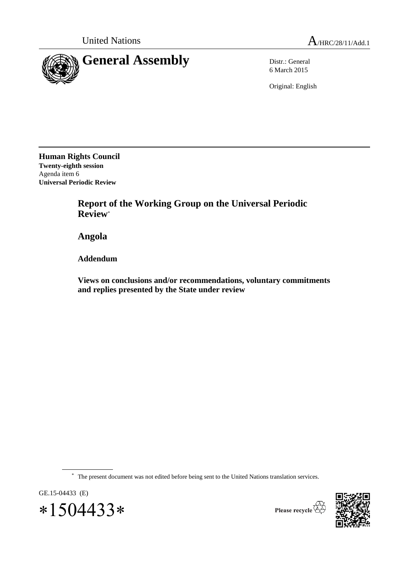

6 March 2015

Original: English

**Human Rights Council Twenty-eighth session** Agenda item 6 **Universal Periodic Review**

> **Report of the Working Group on the Universal Periodic Review**\*

**Angola**

**Addendum**

**Views on conclusions and/or recommendations, voluntary commitments and replies presented by the State under review**

\* The present document was not edited before being sent to the United Nations translation services.





Please recycle  $\overleftrightarrow{C}$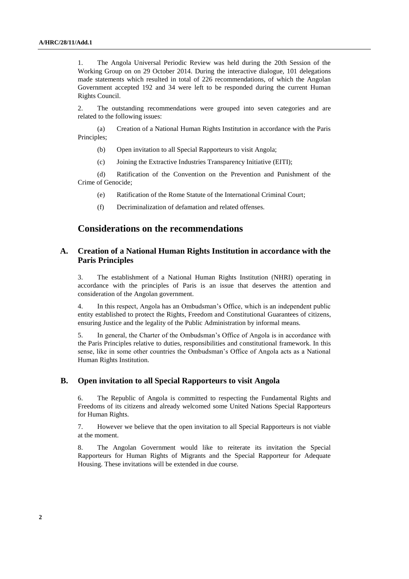1. The Angola Universal Periodic Review was held during the 20th Session of the Working Group on on 29 October 2014. During the interactive dialogue, 101 delegations made statements which resulted in total of 226 recommendations, of which the Angolan Government accepted 192 and 34 were left to be responded during the current Human Rights Council.

2. The outstanding recommendations were grouped into seven categories and are related to the following issues:

(a) Creation of a National Human Rights Institution in accordance with the Paris Principles;

- (b) Open invitation to all Special Rapporteurs to visit Angola;
- (c) Joining the Extractive Industries Transparency Initiative (EITI);

(d) Ratification of the Convention on the Prevention and Punishment of the Crime of Genocide;

- (e) Ratification of the Rome Statute of the International Criminal Court;
- (f) Decriminalization of defamation and related offenses.

## **Considerations on the recommendations**

### **A. Creation of a National Human Rights Institution in accordance with the Paris Principles**

3. The establishment of a National Human Rights Institution (NHRI) operating in accordance with the principles of Paris is an issue that deserves the attention and consideration of the Angolan government.

4. In this respect, Angola has an Ombudsman's Office, which is an independent public entity established to protect the Rights, Freedom and Constitutional Guarantees of citizens, ensuring Justice and the legality of the Public Administration by informal means.

5. In general, the Charter of the Ombudsman's Office of Angola is in accordance with the Paris Principles relative to duties, responsibilities and constitutional framework. In this sense, like in some other countries the Ombudsman's Office of Angola acts as a National Human Rights Institution.

#### **B. Open invitation to all Special Rapporteurs to visit Angola**

6. The Republic of Angola is committed to respecting the Fundamental Rights and Freedoms of its citizens and already welcomed some United Nations Special Rapporteurs for Human Rights.

7. However we believe that the open invitation to all Special Rapporteurs is not viable at the moment.

8. The Angolan Government would like to reiterate its invitation the Special Rapporteurs for Human Rights of Migrants and the Special Rapporteur for Adequate Housing. These invitations will be extended in due course.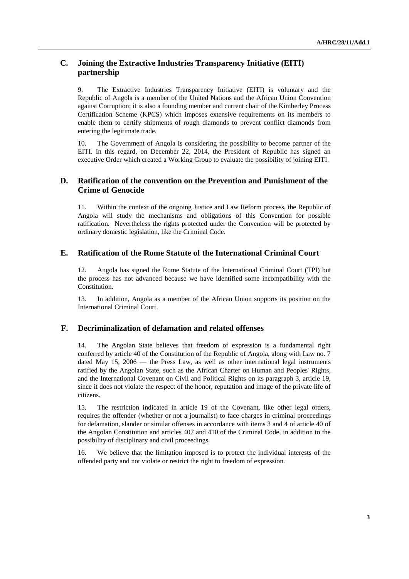## **C. Joining the Extractive Industries Transparency Initiative (EITI) partnership**

9. The Extractive Industries Transparency Initiative (EITI) is voluntary and the Republic of Angola is a member of the United Nations and the African Union Convention against Corruption; it is also a founding member and current chair of the Kimberley Process Certification Scheme (KPCS) which imposes extensive requirements on its members to enable them to certify shipments of rough diamonds to prevent conflict diamonds from entering the legitimate trade.

10. The Government of Angola is considering the possibility to become partner of the EITI. In this regard, on December 22, 2014, the President of Republic has signed an executive Order which created a Working Group to evaluate the possibility of joining EITI.

## **D. Ratification of the convention on the Prevention and Punishment of the Crime of Genocide**

11. Within the context of the ongoing Justice and Law Reform process, the Republic of Angola will study the mechanisms and obligations of this Convention for possible ratification. Nevertheless the rights protected under the Convention will be protected by ordinary domestic legislation, like the Criminal Code.

#### **E. Ratification of the Rome Statute of the International Criminal Court**

12. Angola has signed the Rome Statute of the International Criminal Court (TPI) but the process has not advanced because we have identified some incompatibility with the Constitution.

13. In addition, Angola as a member of the African Union supports its position on the International Criminal Court.

#### **F. Decriminalization of defamation and related offenses**

14. The Angolan State believes that freedom of expression is a fundamental right conferred by article 40 of the Constitution of the Republic of Angola, along with Law no. 7 dated May 15, 2006 — the Press Law, as well as other international legal instruments ratified by the Angolan State, such as the African Charter on Human and Peoples' Rights, and the International Covenant on Civil and Political Rights on its paragraph 3, article 19, since it does not violate the respect of the honor, reputation and image of the private life of citizens.

15. The restriction indicated in article 19 of the Covenant, like other legal orders, requires the offender (whether or not a journalist) to face charges in criminal proceedings for defamation, slander or similar offenses in accordance with items 3 and 4 of article 40 of the Angolan Constitution and articles 407 and 410 of the Criminal Code, in addition to the possibility of disciplinary and civil proceedings.

16. We believe that the limitation imposed is to protect the individual interests of the offended party and not violate or restrict the right to freedom of expression.